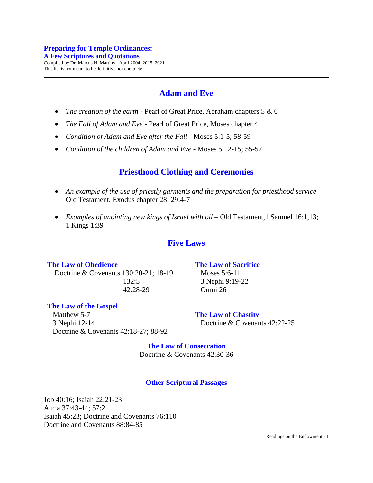# **Adam and Eve**

- *The creation of the earth* Pearl of Great Price, Abraham chapters 5 & 6
- *The Fall of Adam and Eve* Pearl of Great Price, Moses chapter 4
- *Condition of Adam and Eve after the Fall* Moses 5:1-5; 58-59
- *Condition of the children of Adam and Eve* Moses 5:12-15; 55-57

## **Priesthood Clothing and Ceremonies**

- An example of the use of priestly garments and the preparation for priesthood service Old Testament, Exodus chapter 28; 29:4-7
- *Examples of anointing new kings of Israel with oil* Old Testament, 1 Samuel 16:1,13; 1 Kings 1:39

### **Five Laws**

| <b>The Law of Obedience</b><br>Doctrine & Covenants 130:20-21; 18-19<br>132:5<br>42:28-29            | <b>The Law of Sacrifice</b><br>Moses $5:6-11$<br>3 Nephi 9:19-22<br>Omni 26 |
|------------------------------------------------------------------------------------------------------|-----------------------------------------------------------------------------|
| <b>The Law of the Gospel</b><br>Matthew 5-7<br>3 Nephi 12-14<br>Doctrine & Covenants 42:18-27; 88-92 | <b>The Law of Chastity</b><br>Doctrine & Covenants 42:22-25                 |
| <b>The Law of Consecration</b><br>Doctrine $&$ Covenants 42:30-36                                    |                                                                             |

### **Other Scriptural Passages**

Job 40:16; Isaiah 22:21-23 Alma 37:43-44; 57:21 Isaiah 45:23; Doctrine and Covenants 76:110 Doctrine and Covenants 88:84-85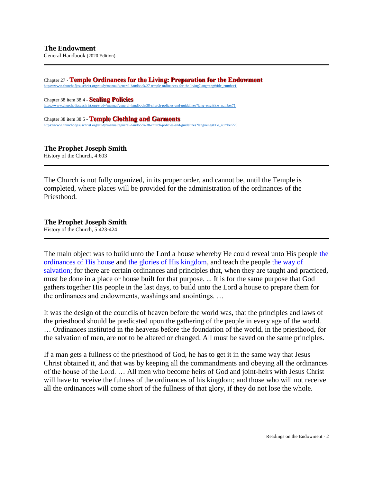General Handbook (2020 Edition)

Chapter 27 - **Temple Ordinances for the Living: Preparation for the Endowment**

[https://www.churchofjesuschrist.org/study/manual/general-handbook/27-temple-ordinances-for-the-living?lang=eng#title\\_number1](https://www.churchofjesuschrist.org/study/manual/general-handbook/27-temple-ordinances-for-the-living?lang=eng%23title_number1) Chapter 38 item 38.4 - **Sealing Policies** [https://www.churchofjesuschrist.org/study/manual/general-handbook/38-church-policies-and-guidelines?lang=eng#title\\_number71](https://www.churchofjesuschrist.org/study/manual/general-handbook/38-church-policies-and-guidelines?lang=eng%23title_number71)

Chapter 38 item 38.5 - **Temple Clothing and Garments** [https://www.churchofjesuschrist.org/study/manual/general-handbook/38-church-policies-and-guidelines?lang=eng#title\\_number229](https://www.churchofjesuschrist.org/study/manual/general-handbook/38-church-policies-and-guidelines?lang=eng%23title_number229)

#### **The Prophet Joseph Smith**

History of the Church, 4:603

The Church is not fully organized, in its proper order, and cannot be, until the Temple is completed, where places will be provided for the administration of the ordinances of the Priesthood.

#### **The Prophet Joseph Smith**

History of the Church, 5:423-424

The main object was to build unto the Lord a house whereby He could reveal unto His people the ordinances of His house and the glories of His kingdom, and teach the people the way of salvation; for there are certain ordinances and principles that, when they are taught and practiced, must be done in a place or house built for that purpose. ... It is for the same purpose that God gathers together His people in the last days, to build unto the Lord a house to prepare them for the ordinances and endowments, washings and anointings. …

It was the design of the councils of heaven before the world was, that the principles and laws of the priesthood should be predicated upon the gathering of the people in every age of the world. … Ordinances instituted in the heavens before the foundation of the world, in the priesthood, for the salvation of men, are not to be altered or changed. All must be saved on the same principles.

If a man gets a fullness of the priesthood of God, he has to get it in the same way that Jesus Christ obtained it, and that was by keeping all the commandments and obeying all the ordinances of the house of the Lord. … All men who become heirs of God and joint-heirs with Jesus Christ will have to receive the fulness of the ordinances of his kingdom; and those who will not receive all the ordinances will come short of the fullness of that glory, if they do not lose the whole.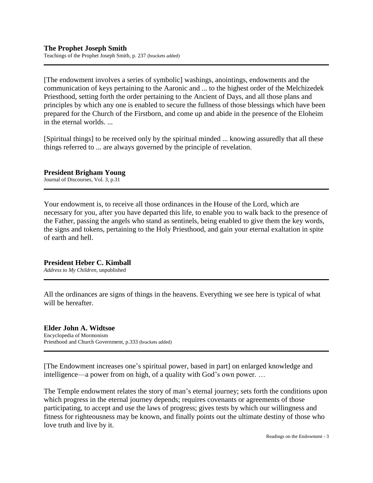[The endowment involves a series of symbolic] washings, anointings, endowments and the communication of keys pertaining to the Aaronic and ... to the highest order of the Melchizedek Priesthood, setting forth the order pertaining to the Ancient of Days, and all those plans and principles by which any one is enabled to secure the fullness of those blessings which have been prepared for the Church of the Firstborn, and come up and abide in the presence of the Eloheim in the eternal worlds. ...

[Spiritual things] to be received only by the spiritual minded ... knowing assuredly that all these things referred to ... are always governed by the principle of revelation.

**President Brigham Young** Journal of Discourses, Vol. 3, p.31

Your endowment is, to receive all those ordinances in the House of the Lord, which are necessary for you, after you have departed this life, to enable you to walk back to the presence of the Father, passing the angels who stand as sentinels, being enabled to give them the key words, the signs and tokens, pertaining to the Holy Priesthood, and gain your eternal exaltation in spite of earth and hell.

#### **President Heber C. Kimball**

*Address to My Children*, unpublished

All the ordinances are signs of things in the heavens. Everything we see here is typical of what will be hereafter.

#### **Elder John A. Widtsoe** Encyclopedia of Mormonism Priesthood and Church Government, p.333 (brackets added)

[The Endowment increases one's spiritual power, based in part] on enlarged knowledge and intelligence—a power from on high, of a quality with God's own power. …

The Temple endowment relates the story of man's eternal journey; sets forth the conditions upon which progress in the eternal journey depends; requires covenants or agreements of those participating, to accept and use the laws of progress; gives tests by which our willingness and fitness for righteousness may be known, and finally points out the ultimate destiny of those who love truth and live by it.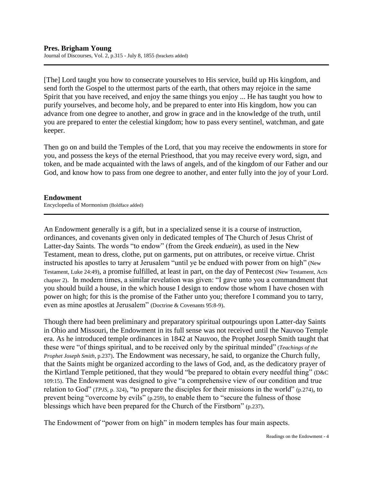[The] Lord taught you how to consecrate yourselves to His service, build up His kingdom, and send forth the Gospel to the uttermost parts of the earth, that others may rejoice in the same Spirit that you have received, and enjoy the same things you enjoy ... He has taught you how to purify yourselves, and become holy, and be prepared to enter into His kingdom, how you can advance from one degree to another, and grow in grace and in the knowledge of the truth, until you are prepared to enter the celestial kingdom; how to pass every sentinel, watchman, and gate keeper.

Then go on and build the Temples of the Lord, that you may receive the endowments in store for you, and possess the keys of the eternal Priesthood, that you may receive every word, sign, and token, and be made acquainted with the laws of angels, and of the kingdom of our Father and our God, and know how to pass from one degree to another, and enter fully into the joy of your Lord.

#### **Endowment**

Encyclopedia of Mormonism (Boldface added)

An Endowment generally is a gift, but in a specialized sense it is a course of instruction, ordinances, and covenants given only in dedicated temples of The Church of Jesus Christ of Latter-day Saints. The words "to endow" (from the Greek *enduein*), as used in the New Testament, mean to dress, clothe, put on garments, put on attributes, or receive virtue. Christ instructed his apostles to tarry at Jerusalem "until ye be endued with power from on high" (New Testament, Luke 24:49), a promise fulfilled, at least in part, on the day of Pentecost (New Testament, Acts chapter 2). In modern times, a similar revelation was given: "I gave unto you a commandment that you should build a house, in the which house I design to endow those whom I have chosen with power on high; for this is the promise of the Father unto you; therefore I command you to tarry, even as mine apostles at Jerusalem" (Doctrine & Covenants 95:8-9).

Though there had been preliminary and preparatory spiritual outpourings upon Latter-day Saints in Ohio and Missouri, the Endowment in its full sense was not received until the Nauvoo Temple era. As he introduced temple ordinances in 1842 at Nauvoo, the Prophet Joseph Smith taught that these were "of things spiritual, and to be received only by the spiritual minded" (*Teachings of the Prophet Joseph Smith*, p.237). The Endowment was necessary, he said, to organize the Church fully, that the Saints might be organized according to the laws of God, and, as the dedicatory prayer of the Kirtland Temple petitioned, that they would "be prepared to obtain every needful thing" (D&C 109:15). The Endowment was designed to give "a comprehensive view of our condition and true relation to God" (*TPJS*, p. 324), "to prepare the disciples for their missions in the world" (p.274), to prevent being "overcome by evils" (p.259), to enable them to "secure the fulness of those blessings which have been prepared for the Church of the Firstborn" (p.237).

The Endowment of "power from on high" in modern temples has four main aspects.